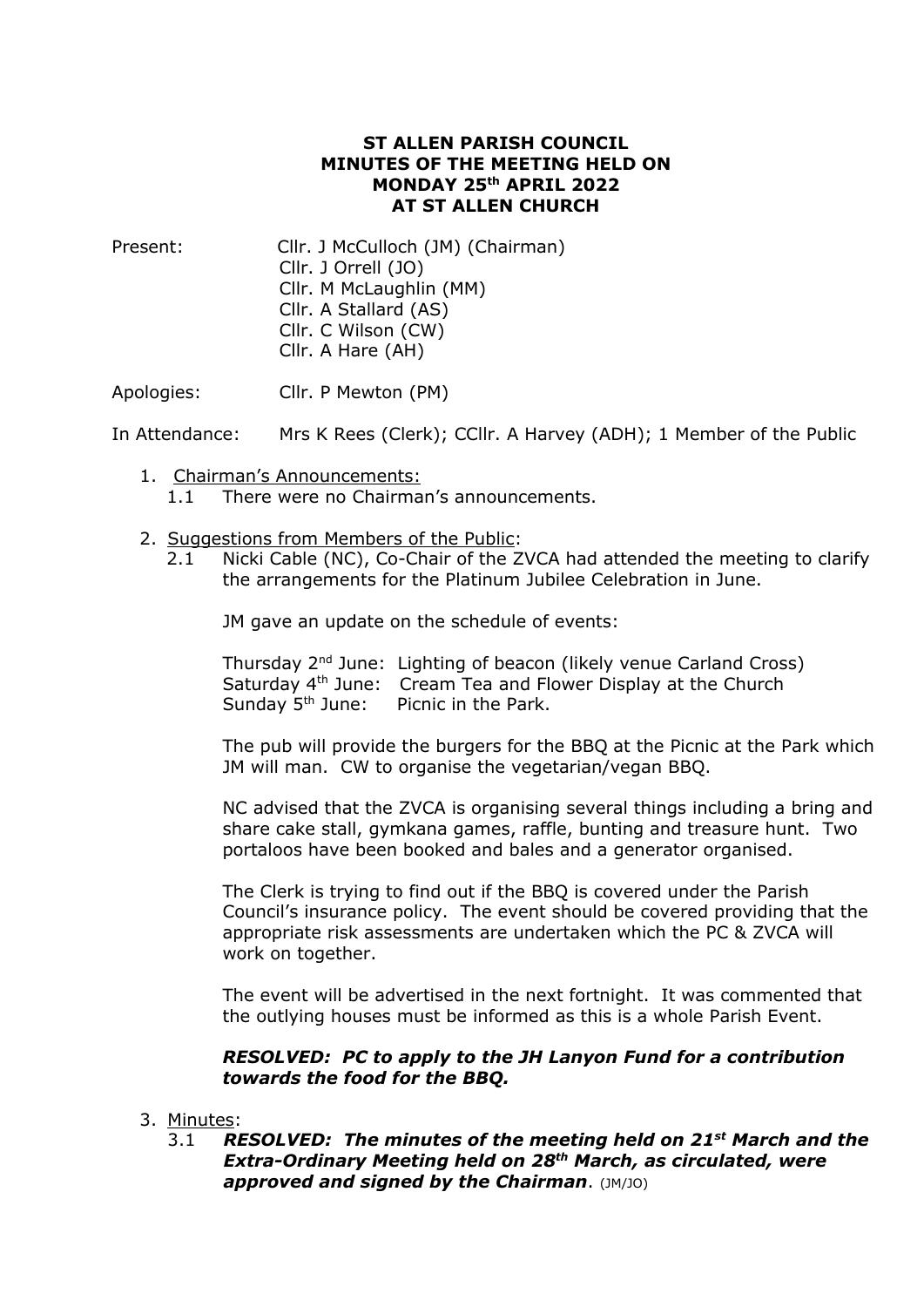## **ST ALLEN PARISH COUNCIL MINUTES OF THE MEETING HELD ON MONDAY 25 th APRIL 2022 AT ST ALLEN CHURCH**

Present: Cllr. J McCulloch (JM) (Chairman) Cllr. J Orrell (JO) Cllr. M McLaughlin (MM) Cllr. A Stallard (AS) Cllr. C Wilson (CW) Cllr. A Hare (AH)

Apologies: Cllr. P Mewton (PM)

In Attendance: Mrs K Rees (Clerk); CCllr. A Harvey (ADH); 1 Member of the Public

- 1. Chairman's Announcements: 1.1 There were no Chairman's announcements.
- 2. Suggestions from Members of the Public:
	- 2.1 Nicki Cable (NC), Co-Chair of the ZVCA had attended the meeting to clarify the arrangements for the Platinum Jubilee Celebration in June.

JM gave an update on the schedule of events:

Thursday 2nd June: Lighting of beacon (likely venue Carland Cross) Saturday 4th June: Cream Tea and Flower Display at the Church Sunday 5<sup>th</sup> June: Picnic in the Park.

The pub will provide the burgers for the BBQ at the Picnic at the Park which JM will man. CW to organise the vegetarian/vegan BBQ.

NC advised that the ZVCA is organising several things including a bring and share cake stall, gymkana games, raffle, bunting and treasure hunt. Two portaloos have been booked and bales and a generator organised.

The Clerk is trying to find out if the BBQ is covered under the Parish Council's insurance policy. The event should be covered providing that the appropriate risk assessments are undertaken which the PC & ZVCA will work on together.

The event will be advertised in the next fortnight. It was commented that the outlying houses must be informed as this is a whole Parish Event.

# *RESOLVED: PC to apply to the JH Lanyon Fund for a contribution towards the food for the BBQ.*

#### 3. Minutes:

3.1 *RESOLVED: The minutes of the meeting held on 21st March and the Extra-Ordinary Meeting held on 28th March, as circulated, were approved and signed by the Chairman*. (JM/JO)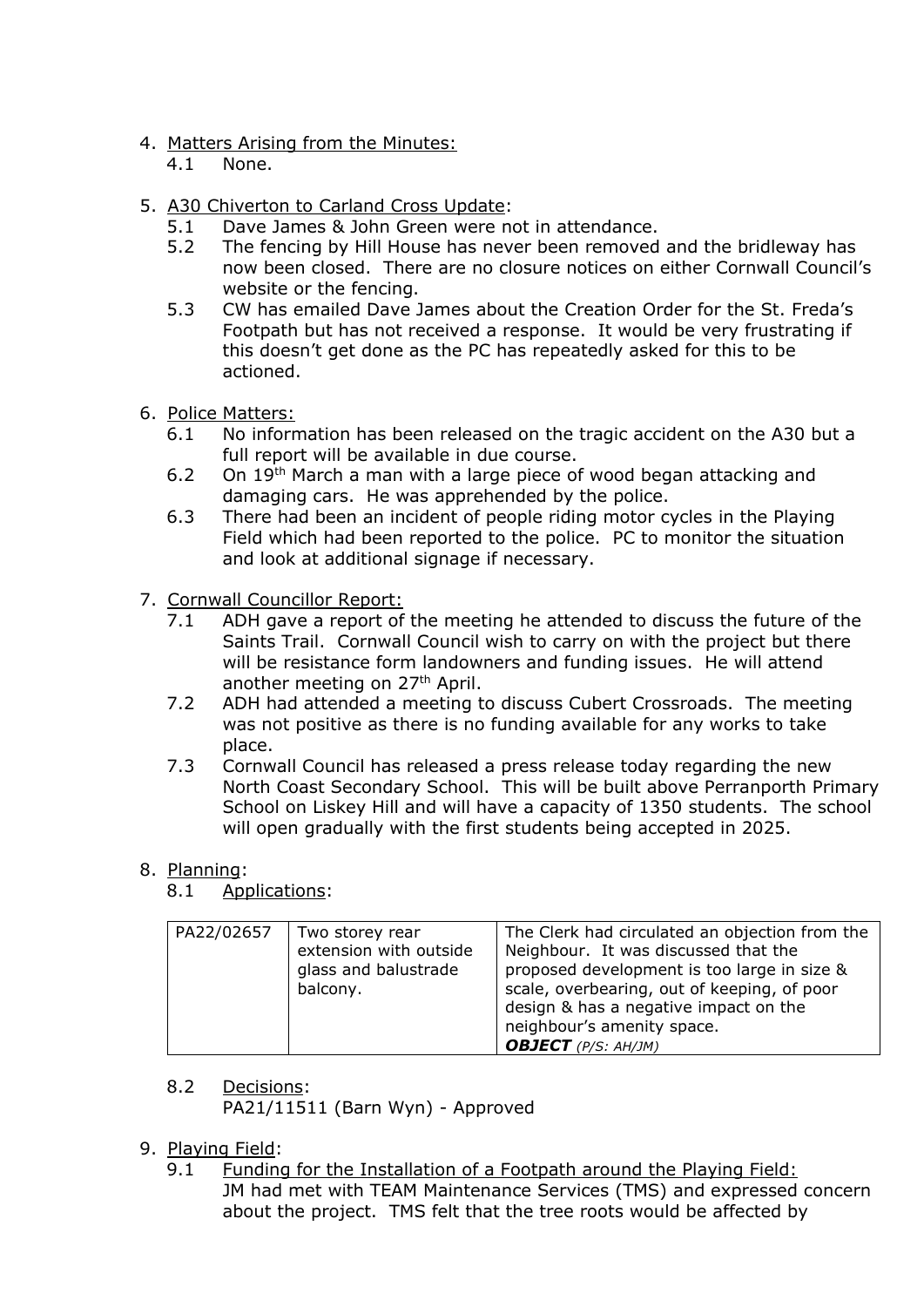# 4. Matters Arising from the Minutes:

- 4.1 None.
- 5. A30 Chiverton to Carland Cross Update:
	- 5.1 Dave James & John Green were not in attendance.
	- 5.2 The fencing by Hill House has never been removed and the bridleway has now been closed. There are no closure notices on either Cornwall Council's website or the fencing.
	- 5.3 CW has emailed Dave James about the Creation Order for the St. Freda's Footpath but has not received a response. It would be very frustrating if this doesn't get done as the PC has repeatedly asked for this to be actioned.
- 6. Police Matters:
	- 6.1 No information has been released on the tragic accident on the A30 but a full report will be available in due course.
	- 6.2 On 19th March a man with a large piece of wood began attacking and damaging cars. He was apprehended by the police.
	- 6.3 There had been an incident of people riding motor cycles in the Playing Field which had been reported to the police. PC to monitor the situation and look at additional signage if necessary.
- 7. Cornwall Councillor Report:
	- 7.1 ADH gave a report of the meeting he attended to discuss the future of the Saints Trail. Cornwall Council wish to carry on with the project but there will be resistance form landowners and funding issues. He will attend another meeting on 27<sup>th</sup> April.
	- 7.2 ADH had attended a meeting to discuss Cubert Crossroads. The meeting was not positive as there is no funding available for any works to take place.
	- 7.3 Cornwall Council has released a press release today regarding the new North Coast Secondary School. This will be built above Perranporth Primary School on Liskey Hill and will have a capacity of 1350 students. The school will open gradually with the first students being accepted in 2025.

# 8. Planning:

8.1 Applications:

| PA22/02657 | Two storey rear<br>extension with outside<br>glass and balustrade<br>balcony. | The Clerk had circulated an objection from the<br>Neighbour. It was discussed that the<br>proposed development is too large in size &<br>scale, overbearing, out of keeping, of poor<br>design & has a negative impact on the<br>neighbour's amenity space.<br><b>OBJECT</b> (P/S: AH/JM) |
|------------|-------------------------------------------------------------------------------|-------------------------------------------------------------------------------------------------------------------------------------------------------------------------------------------------------------------------------------------------------------------------------------------|

- 8.2 Decisions:
	- PA21/11511 (Barn Wyn) Approved

# 9. Playing Field:

9.1 Funding for the Installation of a Footpath around the Playing Field: JM had met with TEAM Maintenance Services (TMS) and expressed concern about the project. TMS felt that the tree roots would be affected by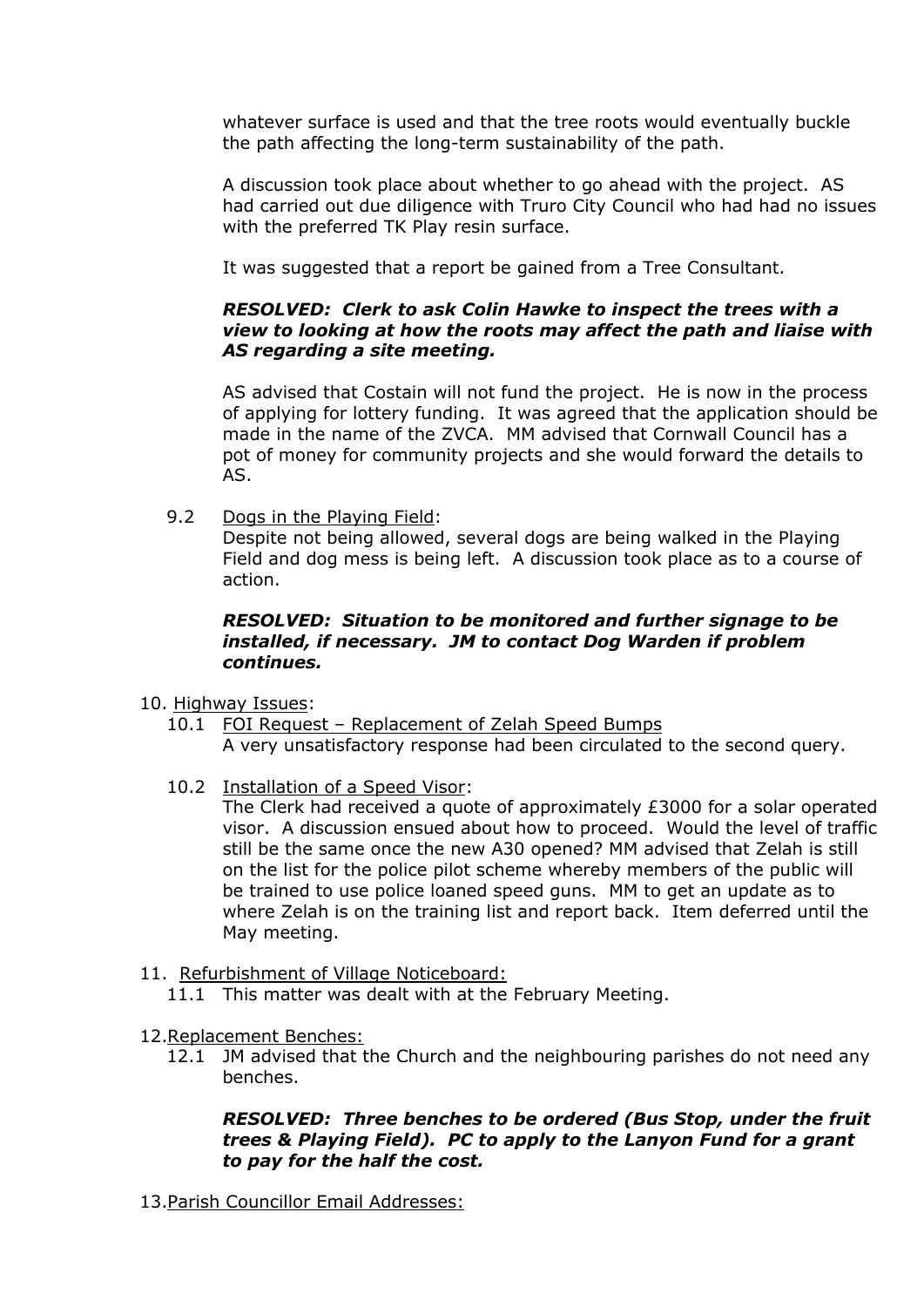whatever surface is used and that the tree roots would eventually buckle the path affecting the long-term sustainability of the path.

A discussion took place about whether to go ahead with the project. AS had carried out due diligence with Truro City Council who had had no issues with the preferred TK Play resin surface.

It was suggested that a report be gained from a Tree Consultant.

# *RESOLVED: Clerk to ask Colin Hawke to inspect the trees with a view to looking at how the roots may affect the path and liaise with AS regarding a site meeting.*

AS advised that Costain will not fund the project. He is now in the process of applying for lottery funding. It was agreed that the application should be made in the name of the ZVCA. MM advised that Cornwall Council has a pot of money for community projects and she would forward the details to AS.

9.2 Dogs in the Playing Field:

Despite not being allowed, several dogs are being walked in the Playing Field and dog mess is being left. A discussion took place as to a course of action.

# *RESOLVED: Situation to be monitored and further signage to be installed, if necessary. JM to contact Dog Warden if problem continues.*

10. Highway Issues:

- 10.1 FOI Request Replacement of Zelah Speed Bumps A very unsatisfactory response had been circulated to the second query.
- 10.2 Installation of a Speed Visor:

The Clerk had received a quote of approximately £3000 for a solar operated visor. A discussion ensued about how to proceed. Would the level of traffic still be the same once the new A30 opened? MM advised that Zelah is still on the list for the police pilot scheme whereby members of the public will be trained to use police loaned speed guns. MM to get an update as to where Zelah is on the training list and report back. Item deferred until the May meeting.

- 11. Refurbishment of Village Noticeboard:
	- 11.1 This matter was dealt with at the February Meeting.
- 12.Replacement Benches:
	- 12.1 JM advised that the Church and the neighbouring parishes do not need any benches.

#### *RESOLVED: Three benches to be ordered (Bus Stop, under the fruit trees & Playing Field). PC to apply to the Lanyon Fund for a grant to pay for the half the cost.*

13.Parish Councillor Email Addresses: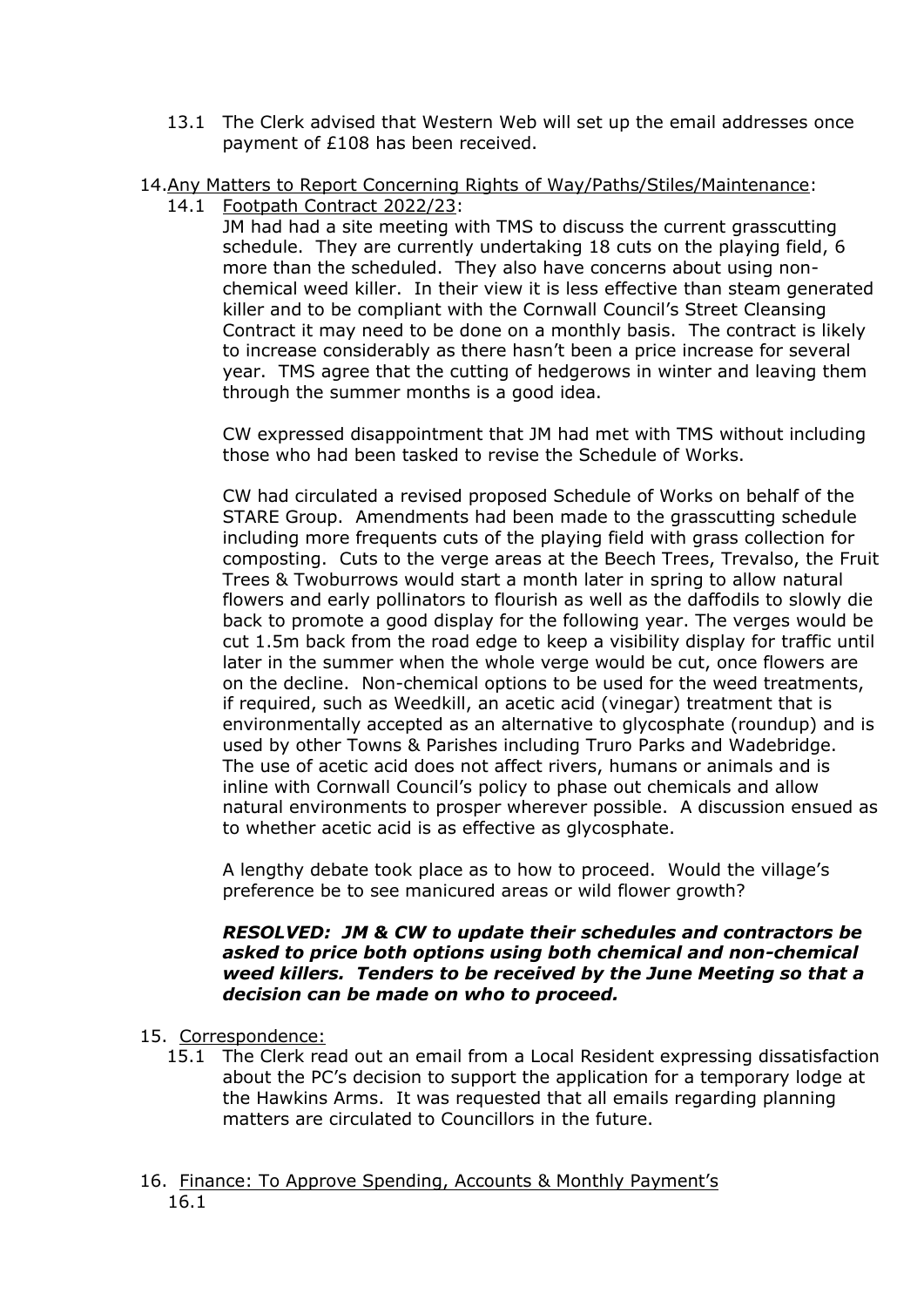- 13.1 The Clerk advised that Western Web will set up the email addresses once payment of £108 has been received.
- 14.Any Matters to Report Concerning Rights of Way/Paths/Stiles/Maintenance:
	- 14.1 Footpath Contract 2022/23:

JM had had a site meeting with TMS to discuss the current grasscutting schedule. They are currently undertaking 18 cuts on the playing field, 6 more than the scheduled. They also have concerns about using nonchemical weed killer. In their view it is less effective than steam generated killer and to be compliant with the Cornwall Council's Street Cleansing Contract it may need to be done on a monthly basis. The contract is likely to increase considerably as there hasn't been a price increase for several year. TMS agree that the cutting of hedgerows in winter and leaving them through the summer months is a good idea.

CW expressed disappointment that JM had met with TMS without including those who had been tasked to revise the Schedule of Works.

CW had circulated a revised proposed Schedule of Works on behalf of the STARE Group. Amendments had been made to the grasscutting schedule including more frequents cuts of the playing field with grass collection for composting. Cuts to the verge areas at the Beech Trees, Trevalso, the Fruit Trees & Twoburrows would start a month later in spring to allow natural flowers and early pollinators to flourish as well as the daffodils to slowly die back to promote a good display for the following year. The verges would be cut 1.5m back from the road edge to keep a visibility display for traffic until later in the summer when the whole verge would be cut, once flowers are on the decline. Non-chemical options to be used for the weed treatments, if required, such as Weedkill, an acetic acid (vinegar) treatment that is environmentally accepted as an alternative to glycosphate (roundup) and is used by other Towns & Parishes including Truro Parks and Wadebridge. The use of acetic acid does not affect rivers, humans or animals and is inline with Cornwall Council's policy to phase out chemicals and allow natural environments to prosper wherever possible. A discussion ensued as to whether acetic acid is as effective as glycosphate.

A lengthy debate took place as to how to proceed. Would the village's preference be to see manicured areas or wild flower growth?

#### *RESOLVED: JM & CW to update their schedules and contractors be asked to price both options using both chemical and non-chemical weed killers. Tenders to be received by the June Meeting so that a decision can be made on who to proceed.*

- 15. Correspondence:
	- 15.1 The Clerk read out an email from a Local Resident expressing dissatisfaction about the PC's decision to support the application for a temporary lodge at the Hawkins Arms. It was requested that all emails regarding planning matters are circulated to Councillors in the future.
- 16. Finance: To Approve Spending, Accounts & Monthly Payment's 16.1